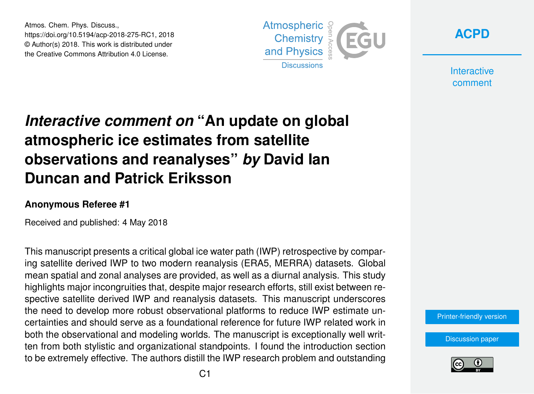Atmos. Chem. Phys. Discuss., https://doi.org/10.5194/acp-2018-275-RC1, 2018 © Author(s) 2018. This work is distributed under the Creative Commons Attribution 4.0 License.





**Interactive** comment

## *Interactive comment on* **"An update on global atmospheric ice estimates from satellite observations and reanalyses"** *by* **David Ian Duncan and Patrick Eriksson**

## **Anonymous Referee #1**

Received and published: 4 May 2018

This manuscript presents a critical global ice water path (IWP) retrospective by comparing satellite derived IWP to two modern reanalysis (ERA5, MERRA) datasets. Global mean spatial and zonal analyses are provided, as well as a diurnal analysis. This study highlights major incongruities that, despite major research efforts, still exist between respective satellite derived IWP and reanalysis datasets. This manuscript underscores the need to develop more robust observational platforms to reduce IWP estimate uncertainties and should serve as a foundational reference for future IWP related work in both the observational and modeling worlds. The manuscript is exceptionally well written from both stylistic and organizational standpoints. I found the introduction section to be extremely effective. The authors distill the IWP research problem and outstanding

[Printer-friendly version](https://www.atmos-chem-phys-discuss.net/acp-2018-275/acp-2018-275-RC1-print.pdf)

[Discussion paper](https://www.atmos-chem-phys-discuss.net/acp-2018-275)

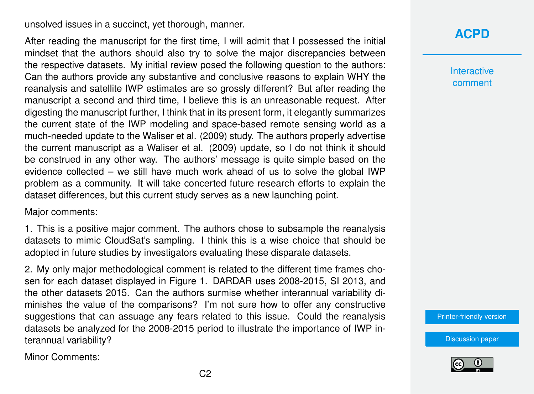unsolved issues in a succinct, yet thorough, manner.

After reading the manuscript for the first time, I will admit that I possessed the initial mindset that the authors should also try to solve the major discrepancies between the respective datasets. My initial review posed the following question to the authors: Can the authors provide any substantive and conclusive reasons to explain WHY the reanalysis and satellite IWP estimates are so grossly different? But after reading the manuscript a second and third time, I believe this is an unreasonable request. After digesting the manuscript further, I think that in its present form, it elegantly summarizes the current state of the IWP modeling and space-based remote sensing world as a much-needed update to the Waliser et al. (2009) study. The authors properly advertise the current manuscript as a Waliser et al. (2009) update, so I do not think it should be construed in any other way. The authors' message is quite simple based on the evidence collected – we still have much work ahead of us to solve the global IWP problem as a community. It will take concerted future research efforts to explain the dataset differences, but this current study serves as a new launching point.

Major comments:

1. This is a positive major comment. The authors chose to subsample the reanalysis datasets to mimic CloudSat's sampling. I think this is a wise choice that should be adopted in future studies by investigators evaluating these disparate datasets.

2. My only major methodological comment is related to the different time frames chosen for each dataset displayed in Figure 1. DARDAR uses 2008-2015, SI 2013, and the other datasets 2015. Can the authors surmise whether interannual variability diminishes the value of the comparisons? I'm not sure how to offer any constructive suggestions that can assuage any fears related to this issue. Could the reanalysis datasets be analyzed for the 2008-2015 period to illustrate the importance of IWP interannual variability?

Minor Comments:

## **[ACPD](https://www.atmos-chem-phys-discuss.net/)**

**Interactive** comment

[Printer-friendly version](https://www.atmos-chem-phys-discuss.net/acp-2018-275/acp-2018-275-RC1-print.pdf)

[Discussion paper](https://www.atmos-chem-phys-discuss.net/acp-2018-275)